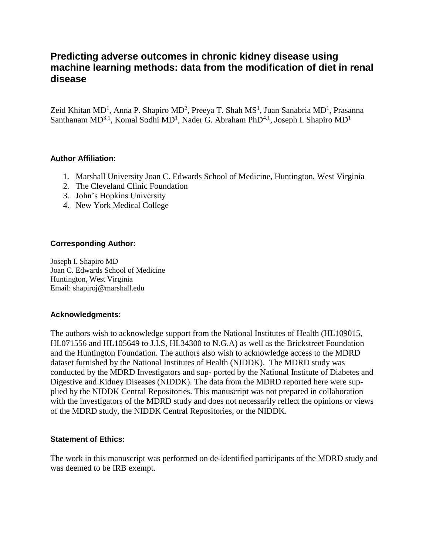# **Predicting adverse outcomes in chronic kidney disease using machine learning methods: data from the modification of diet in renal disease**

Zeid Khitan MD<sup>1</sup>, Anna P. Shapiro MD<sup>2</sup>, Preeya T. Shah MS<sup>1</sup>, Juan Sanabria MD<sup>1</sup>, Prasanna Santhanam MD<sup>3,1</sup>, Komal Sodhi MD<sup>1</sup>, Nader G. Abraham PhD<sup>4,1</sup>, Joseph I. Shapiro MD<sup>1</sup>

#### **Author Affiliation:**

- 1. Marshall University Joan C. Edwards School of Medicine, Huntington, West Virginia
- 2. The Cleveland Clinic Foundation
- 3. John's Hopkins University
- 4. New York Medical College

#### **Corresponding Author:**

Joseph I. Shapiro MD Joan C. Edwards School of Medicine Huntington, West Virginia Email: shapiroj@marshall.edu

#### **Acknowledgments:**

The authors wish to acknowledge support from the National Institutes of Health (HL109015, HL071556 and HL105649 to J.I.S, HL34300 to N.G.A) as well as the Brickstreet Foundation and the Huntington Foundation. The authors also wish to acknowledge access to the MDRD dataset furnished by the National Institutes of Health (NIDDK). The MDRD study was conducted by the MDRD Investigators and sup- ported by the National Institute of Diabetes and Digestive and Kidney Diseases (NIDDK). The data from the MDRD reported here were supplied by the NIDDK Central Repositories. This manuscript was not prepared in collaboration with the investigators of the MDRD study and does not necessarily reflect the opinions or views of the MDRD study, the NIDDK Central Repositories, or the NIDDK.

#### **Statement of Ethics:**

The work in this manuscript was performed on de-identified participants of the MDRD study and was deemed to be IRB exempt.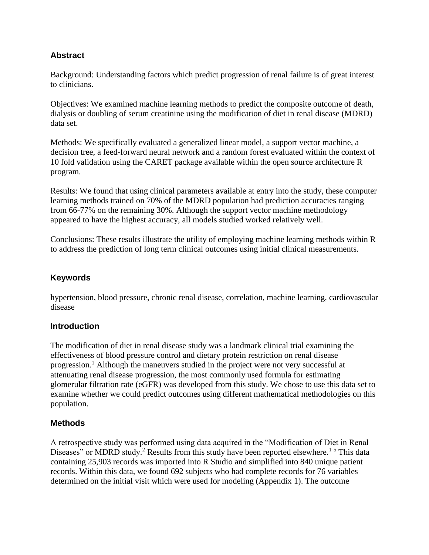## **Abstract**

Background: Understanding factors which predict progression of renal failure is of great interest to clinicians.

Objectives: We examined machine learning methods to predict the composite outcome of death, dialysis or doubling of serum creatinine using the modification of diet in renal disease (MDRD) data set.

Methods: We specifically evaluated a generalized linear model, a support vector machine, a decision tree, a feed-forward neural network and a random forest evaluated within the context of 10 fold validation using the CARET package available within the open source architecture R program.

Results: We found that using clinical parameters available at entry into the study, these computer learning methods trained on 70% of the MDRD population had prediction accuracies ranging from 66-77% on the remaining 30%. Although the support vector machine methodology appeared to have the highest accuracy, all models studied worked relatively well.

Conclusions: These results illustrate the utility of employing machine learning methods within R to address the prediction of long term clinical outcomes using initial clinical measurements.

## **Keywords**

hypertension, blood pressure, chronic renal disease, correlation, machine learning, cardiovascular disease

## **Introduction**

The modification of diet in renal disease study was a landmark clinical trial examining the effectiveness of blood pressure control and dietary protein restriction on renal disease progression.<sup>1</sup> Although the maneuvers studied in the project were not very successful at attenuating renal disease progression, the most commonly used formula for estimating glomerular filtration rate (eGFR) was developed from this study. We chose to use this data set to examine whether we could predict outcomes using different mathematical methodologies on this population.

### **Methods**

A retrospective study was performed using data acquired in the "Modification of Diet in Renal Diseases" or MDRD study.<sup>2</sup> Results from this study have been reported elsewhere.<sup>1-5</sup> This data containing 25,903 records was imported into R Studio and simplified into 840 unique patient records. Within this data, we found 692 subjects who had complete records for 76 variables determined on the initial visit which were used for modeling (Appendix 1). The outcome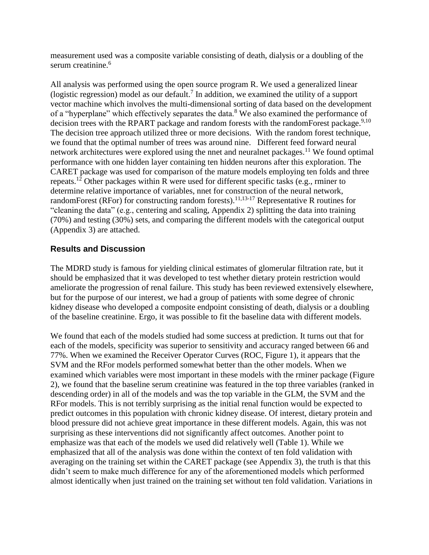measurement used was a composite variable consisting of death, dialysis or a doubling of the serum creatinine.<sup>6</sup>

All analysis was performed using the open source program R. We used a generalized linear (logistic regression) model as our default.<sup>7</sup> In addition, we examined the utility of a support vector machine which involves the multi-dimensional sorting of data based on the development of a "hyperplane" which effectively separates the data.<sup>8</sup> We also examined the performance of decision trees with the RPART package and random forests with the randomForest package.<sup>9,10</sup> The decision tree approach utilized three or more decisions. With the random forest technique, we found that the optimal number of trees was around nine. Different feed forward neural network architectures were explored using the nnet and neuralnet packages.<sup>11</sup> We found optimal performance with one hidden layer containing ten hidden neurons after this exploration. The CARET package was used for comparison of the mature models employing ten folds and three repeats.<sup>12</sup> Other packages within R were used for different specific tasks (e.g., rminer to determine relative importance of variables, nnet for construction of the neural network, randomForest (RFor) for constructing random forests).<sup>11,13-17</sup> Representative R routines for "cleaning the data" (e.g., centering and scaling, Appendix 2) splitting the data into training (70%) and testing (30%) sets, and comparing the different models with the categorical output (Appendix 3) are attached.

### **Results and Discussion**

The MDRD study is famous for yielding clinical estimates of glomerular filtration rate, but it should be emphasized that it was developed to test whether dietary protein restriction would ameliorate the progression of renal failure. This study has been reviewed extensively elsewhere, but for the purpose of our interest, we had a group of patients with some degree of chronic kidney disease who developed a composite endpoint consisting of death, dialysis or a doubling of the baseline creatinine. Ergo, it was possible to fit the baseline data with different models.

We found that each of the models studied had some success at prediction. It turns out that for each of the models, specificity was superior to sensitivity and accuracy ranged between 66 and 77%. When we examined the Receiver Operator Curves (ROC, Figure 1), it appears that the SVM and the RFor models performed somewhat better than the other models. When we examined which variables were most important in these models with the rminer package (Figure 2), we found that the baseline serum creatinine was featured in the top three variables (ranked in descending order) in all of the models and was the top variable in the GLM, the SVM and the RFor models. This is not terribly surprising as the initial renal function would be expected to predict outcomes in this population with chronic kidney disease. Of interest, dietary protein and blood pressure did not achieve great importance in these different models. Again, this was not surprising as these interventions did not significantly affect outcomes. Another point to emphasize was that each of the models we used did relatively well (Table 1). While we emphasized that all of the analysis was done within the context of ten fold validation with averaging on the training set within the CARET package (see Appendix 3), the truth is that this didn't seem to make much difference for any of the aforementioned models which performed almost identically when just trained on the training set without ten fold validation. Variations in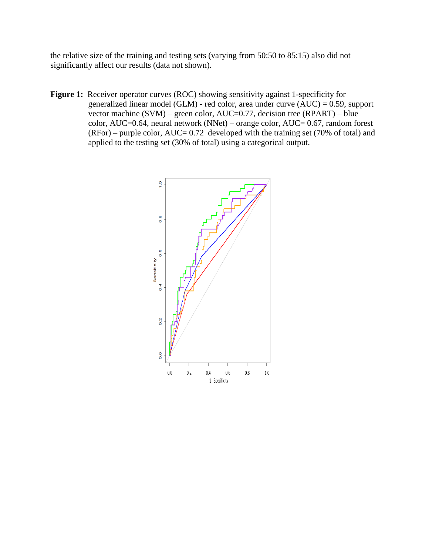the relative size of the training and testing sets (varying from 50:50 to 85:15) also did not significantly affect our results (data not shown).

**Figure 1:** Receiver operator curves (ROC) showing sensitivity against 1-specificity for generalized linear model (GLM) - red color, area under curve (AUC) = 0.59, support vector machine  $(SVM)$  – green color, AUC=0.77, decision tree  $(RPART)$  – blue color, AUC=0.64, neural network (NNet) – orange color, AUC= 0.67, random forest  $(RFor)$  – purple color,  $AUC = 0.72$  developed with the training set (70% of total) and applied to the testing set (30% of total) using a categorical output.

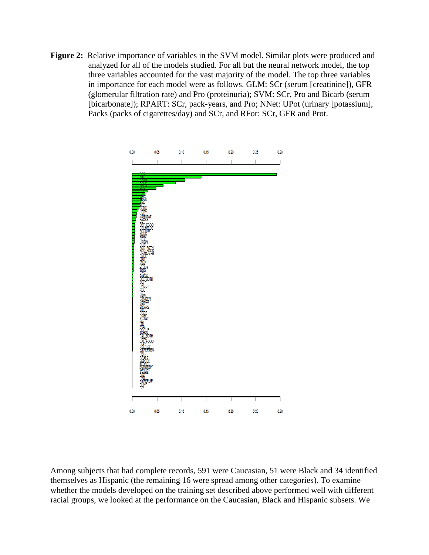**Figure 2:** Relative importance of variables in the SVM model. Similar plots were produced and analyzed for all of the models studied. For all but the neural network model, the top three variables accounted for the vast majority of the model. The top three variables in importance for each model were as follows. GLM: SCr (serum [creatinine]), GFR (glomerular filtration rate) and Pro (proteinuria); SVM: SCr, Pro and Bicarb (serum [bicarbonate]); RPART: SCr, pack-years, and Pro; NNet: UPot (urinary [potassium], Packs (packs of cigarettes/day) and SCr, and RFor: SCr, GFR and Prot.



Among subjects that had complete records, 591 were Caucasian, 51 were Black and 34 identified themselves as Hispanic (the remaining 16 were spread among other categories). To examine whether the models developed on the training set described above performed well with different racial groups, we looked at the performance on the Caucasian, Black and Hispanic subsets. We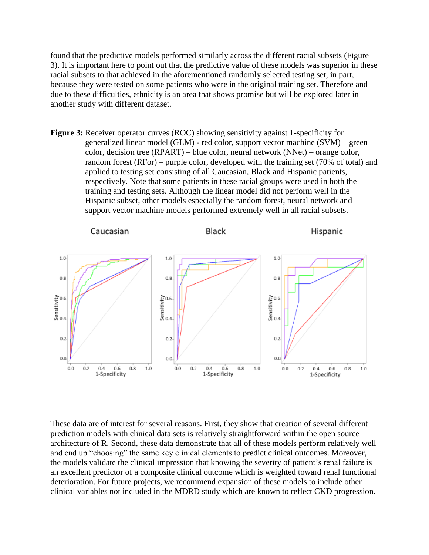found that the predictive models performed similarly across the different racial subsets (Figure 3). It is important here to point out that the predictive value of these models was superior in these racial subsets to that achieved in the aforementioned randomly selected testing set, in part, because they were tested on some patients who were in the original training set. Therefore and due to these difficulties, ethnicity is an area that shows promise but will be explored later in another study with different dataset.

**Figure 3:** Receiver operator curves (ROC) showing sensitivity against 1-specificity for generalized linear model (GLM) - red color, support vector machine (SVM) – green color, decision tree (RPART) – blue color, neural network (NNet) – orange color, random forest (RFor) – purple color, developed with the training set (70% of total) and applied to testing set consisting of all Caucasian, Black and Hispanic patients, respectively. Note that some patients in these racial groups were used in both the training and testing sets. Although the linear model did not perform well in the Hispanic subset, other models especially the random forest, neural network and support vector machine models performed extremely well in all racial subsets.



These data are of interest for several reasons. First, they show that creation of several different prediction models with clinical data sets is relatively straightforward within the open source architecture of R. Second, these data demonstrate that all of these models perform relatively well and end up "choosing" the same key clinical elements to predict clinical outcomes. Moreover, the models validate the clinical impression that knowing the severity of patient's renal failure is an excellent predictor of a composite clinical outcome which is weighted toward renal functional deterioration. For future projects, we recommend expansion of these models to include other clinical variables not included in the MDRD study which are known to reflect CKD progression.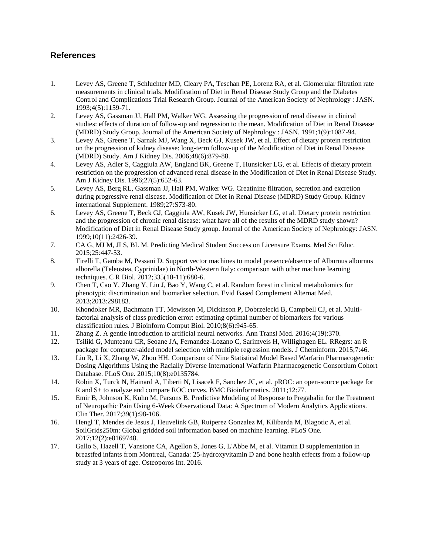### **References**

- 1. Levey AS, Greene T, Schluchter MD, Cleary PA, Teschan PE, Lorenz RA, et al. Glomerular filtration rate measurements in clinical trials. Modification of Diet in Renal Disease Study Group and the Diabetes Control and Complications Trial Research Group. Journal of the American Society of Nephrology : JASN. 1993;4(5):1159-71.
- 2. Levey AS, Gassman JJ, Hall PM, Walker WG. Assessing the progression of renal disease in clinical studies: effects of duration of follow-up and regression to the mean. Modification of Diet in Renal Disease (MDRD) Study Group. Journal of the American Society of Nephrology : JASN. 1991;1(9):1087-94.
- 3. Levey AS, Greene T, Sarnak MJ, Wang X, Beck GJ, Kusek JW, et al. Effect of dietary protein restriction on the progression of kidney disease: long-term follow-up of the Modification of Diet in Renal Disease (MDRD) Study. Am J Kidney Dis. 2006;48(6):879-88.
- 4. Levey AS, Adler S, Caggiula AW, England BK, Greene T, Hunsicker LG, et al. Effects of dietary protein restriction on the progression of advanced renal disease in the Modification of Diet in Renal Disease Study. Am J Kidney Dis. 1996;27(5):652-63.
- 5. Levey AS, Berg RL, Gassman JJ, Hall PM, Walker WG. Creatinine filtration, secretion and excretion during progressive renal disease. Modification of Diet in Renal Disease (MDRD) Study Group. Kidney international Supplement. 1989;27:S73-80.
- 6. Levey AS, Greene T, Beck GJ, Caggiula AW, Kusek JW, Hunsicker LG, et al. Dietary protein restriction and the progression of chronic renal disease: what have all of the results of the MDRD study shown? Modification of Diet in Renal Disease Study group. Journal of the American Society of Nephrology: JASN. 1999;10(11):2426-39.
- 7. CA G, MJ M, JI S, BL M. Predicting Medical Student Success on Licensure Exams. Med Sci Educ. 2015;25:447-53.
- 8. Tirelli T, Gamba M, Pessani D. Support vector machines to model presence/absence of Alburnus alburnus alborella (Teleostea, Cyprinidae) in North-Western Italy: comparison with other machine learning techniques. C R Biol. 2012;335(10-11):680-6.
- 9. Chen T, Cao Y, Zhang Y, Liu J, Bao Y, Wang C, et al. Random forest in clinical metabolomics for phenotypic discrimination and biomarker selection. Evid Based Complement Alternat Med. 2013;2013:298183.
- 10. Khondoker MR, Bachmann TT, Mewissen M, Dickinson P, Dobrzelecki B, Campbell CJ, et al. Multifactorial analysis of class prediction error: estimating optimal number of biomarkers for various classification rules. J Bioinform Comput Biol. 2010;8(6):945-65.
- 11. Zhang Z. A gentle introduction to artificial neural networks. Ann Transl Med. 2016;4(19):370.
- 12. Tsiliki G, Munteanu CR, Seoane JA, Fernandez-Lozano C, Sarimveis H, Willighagen EL. RRegrs: an R package for computer-aided model selection with multiple regression models. J Cheminform. 2015;7:46.
- 13. Liu R, Li X, Zhang W, Zhou HH. Comparison of Nine Statistical Model Based Warfarin Pharmacogenetic Dosing Algorithms Using the Racially Diverse International Warfarin Pharmacogenetic Consortium Cohort Database. PLoS One. 2015;10(8):e0135784.
- 14. Robin X, Turck N, Hainard A, Tiberti N, Lisacek F, Sanchez JC, et al. pROC: an open-source package for R and S+ to analyze and compare ROC curves. BMC Bioinformatics. 2011;12:77.
- 15. Emir B, Johnson K, Kuhn M, Parsons B. Predictive Modeling of Response to Pregabalin for the Treatment of Neuropathic Pain Using 6-Week Observational Data: A Spectrum of Modern Analytics Applications. Clin Ther. 2017;39(1):98-106.
- 16. Hengl T, Mendes de Jesus J, Heuvelink GB, Ruiperez Gonzalez M, Kilibarda M, Blagotic A, et al. SoilGrids250m: Global gridded soil information based on machine learning. PLoS One. 2017;12(2):e0169748.
- 17. Gallo S, Hazell T, Vanstone CA, Agellon S, Jones G, L'Abbe M, et al. Vitamin D supplementation in breastfed infants from Montreal, Canada: 25-hydroxyvitamin D and bone health effects from a follow-up study at 3 years of age. Osteoporos Int. 2016.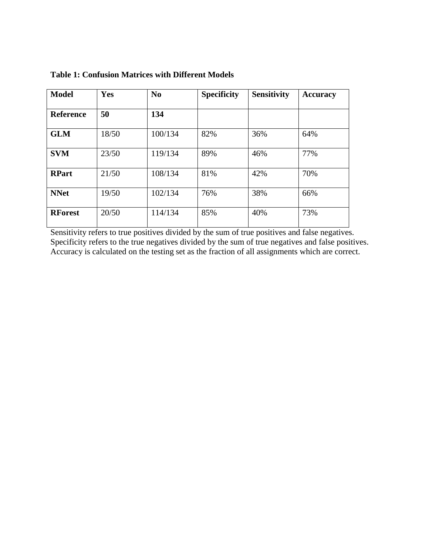| <b>Model</b>     | Yes   | N <sub>0</sub> | <b>Specificity</b> | <b>Sensitivity</b> | Accuracy |
|------------------|-------|----------------|--------------------|--------------------|----------|
| <b>Reference</b> | 50    | 134            |                    |                    |          |
| <b>GLM</b>       | 18/50 | 100/134        | 82%                | 36%                | 64%      |
| <b>SVM</b>       | 23/50 | 119/134        | 89%                | 46%                | 77%      |
| <b>RPart</b>     | 21/50 | 108/134        | 81%                | 42%                | 70%      |
| <b>NNet</b>      | 19/50 | 102/134        | 76%                | 38%                | 66%      |
| <b>RForest</b>   | 20/50 | 114/134        | 85%                | 40%                | 73%      |

**Table 1: Confusion Matrices with Different Models**

Sensitivity refers to true positives divided by the sum of true positives and false negatives. Specificity refers to the true negatives divided by the sum of true negatives and false positives. Accuracy is calculated on the testing set as the fraction of all assignments which are correct.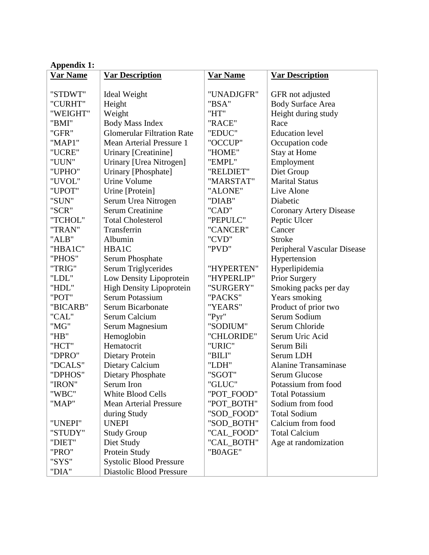| <b>Appendix 1:</b> |                                   |                 |                                |  |  |  |  |
|--------------------|-----------------------------------|-----------------|--------------------------------|--|--|--|--|
| Var Name           | <b>Var Description</b>            | <b>Var Name</b> | <b>Var Description</b>         |  |  |  |  |
|                    |                                   |                 |                                |  |  |  |  |
| "STDWT"            | Ideal Weight                      | "UNADJGFR"      | GFR not adjusted               |  |  |  |  |
| "CURHT"            | Height                            | "BSA"           | <b>Body Surface Area</b>       |  |  |  |  |
| "WEIGHT"           | Weight                            | "HT"            | Height during study            |  |  |  |  |
| "BMI"              | <b>Body Mass Index</b>            | "RACE"          | Race                           |  |  |  |  |
| "GFR"              | <b>Glomerular Filtration Rate</b> | "EDUC"          | <b>Education</b> level         |  |  |  |  |
| "MAP1"             | <b>Mean Arterial Pressure 1</b>   | "OCCUP"         | Occupation code                |  |  |  |  |
| "UCRE"             | Urinary [Creatinine]              | "HOME"          | <b>Stay at Home</b>            |  |  |  |  |
| "UUN"              | Urinary [Urea Nitrogen]           | "EMPL"          | Employment                     |  |  |  |  |
| "UPHO"             | Urinary [Phosphate]               | "RELDIET"       | Diet Group                     |  |  |  |  |
| "UVOL"             | <b>Urine Volume</b>               | "MARSTAT"       | <b>Marital Status</b>          |  |  |  |  |
| "UPOT"             | Urine [Protein]                   | "ALONE"         | Live Alone                     |  |  |  |  |
| "SUN"              | Serum Urea Nitrogen               | "DIAB"          | Diabetic                       |  |  |  |  |
| "SCR"              | <b>Serum Creatinine</b>           | "CAD"           | <b>Coronary Artery Disease</b> |  |  |  |  |
| "TCHOL"            | <b>Total Cholesterol</b>          | "PEPULC"        | Peptic Ulcer                   |  |  |  |  |
| "TRAN"             | Transferrin                       | "CANCER"        | Cancer                         |  |  |  |  |
| "ALB"              | Albumin                           | "CVD"           | <b>Stroke</b>                  |  |  |  |  |
| "HBA1C"            | HBA1C                             | "PVD"           | Peripheral Vascular Disease    |  |  |  |  |
| "PHOS"             | <b>Serum Phosphate</b>            |                 | Hypertension                   |  |  |  |  |
| "TRIG"             | Serum Triglycerides               | "HYPERTEN"      | Hyperlipidemia                 |  |  |  |  |
| "LDL"              | Low Density Lipoprotein           | "HYPERLIP"      | Prior Surgery                  |  |  |  |  |
| "HDL"              | <b>High Density Lipoprotein</b>   | "SURGERY"       | Smoking packs per day          |  |  |  |  |
| "POT"              | <b>Serum Potassium</b>            | "PACKS"         | Years smoking                  |  |  |  |  |
| "BICARB"           | Serum Bicarbonate                 | "YEARS"         | Product of prior two           |  |  |  |  |
| "CAL"              | Serum Calcium                     | "Pyr"           | Serum Sodium                   |  |  |  |  |
| "MG"               | Serum Magnesium                   | "SODIUM"        | Serum Chloride                 |  |  |  |  |
| "HB"               | Hemoglobin                        | "CHLORIDE"      | Serum Uric Acid                |  |  |  |  |
| "HCT"              | Hematocrit                        | "URIC"          | Serum Bili                     |  |  |  |  |
| "DPRO"             | <b>Dietary Protein</b>            | "BILI"          | Serum LDH                      |  |  |  |  |
| "DCALS"            | Dietary Calcium                   | "LDH"           | <b>Alanine Transaminase</b>    |  |  |  |  |
| "DPHOS"            | Dietary Phosphate                 | "SGOT"          | Serum Glucose                  |  |  |  |  |
| "IRON"             | Serum Iron                        | "GLUC"          | Potassium from food            |  |  |  |  |
| "WBC"              | <b>White Blood Cells</b>          | "POT_FOOD"      | <b>Total Potassium</b>         |  |  |  |  |
| "MAP"              | <b>Mean Arterial Pressure</b>     | "POT_BOTH"      | Sodium from food               |  |  |  |  |
|                    | during Study                      | "SOD_FOOD"      | <b>Total Sodium</b>            |  |  |  |  |
| "UNEPI"            | <b>UNEPI</b>                      | "SOD_BOTH"      | Calcium from food              |  |  |  |  |
| "STUDY"            | <b>Study Group</b>                | "CAL_FOOD"      | <b>Total Calcium</b>           |  |  |  |  |
| "DIET"             | Diet Study                        | "CAL_BOTH"      | Age at randomization           |  |  |  |  |
| "PRO"              | Protein Study                     | "B0AGE"         |                                |  |  |  |  |
| "SYS"              | <b>Systolic Blood Pressure</b>    |                 |                                |  |  |  |  |
| "DIA"              | <b>Diastolic Blood Pressure</b>   |                 |                                |  |  |  |  |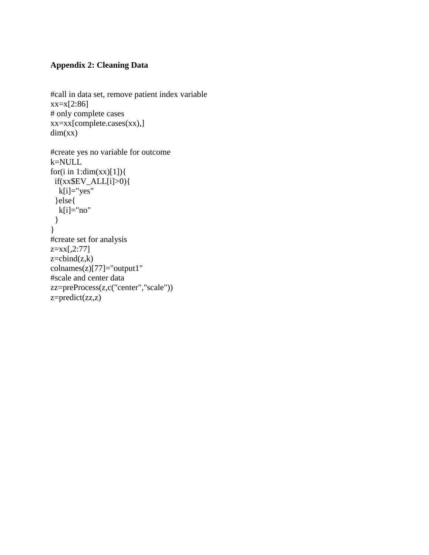## **Appendix 2: Cleaning Data**

```
#call in data set, remove patient index variable
xx=x[2:86]# only complete cases
xx=xx[complete.cases(xx),]
dim(xx)#create yes no variable for outcome
k=NULL
```

```
for(i in 1:dim(xx)[1]){
 if(xx$EV_ALL[i]>0){
   k[i]="yes"
  }else{
  k[i]="no" }
}
#create set for analysis
z=xx[,2:77]
z = \text{cbind}(z,k)colnames(z)[77]="output1"
#scale and center data
zz=preProcess(z,c("center","scale"))
z=predict(zz,z)
```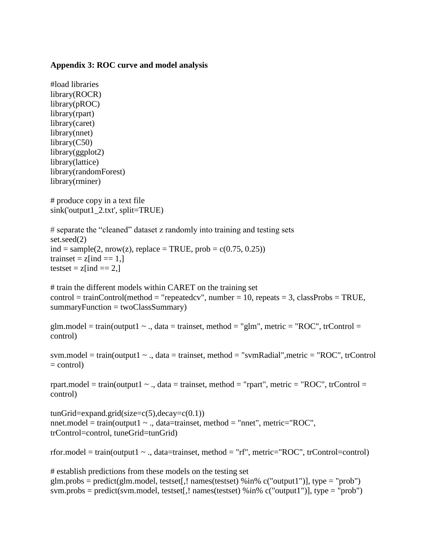#### **Appendix 3: ROC curve and model analysis**

```
#load libraries
library(ROCR)
library(pROC)
library(rpart)
library(caret)
library(nnet)
library(C50)
library(ggplot2)
library(lattice)
library(randomForest)
library(rminer)
# produce copy in a text file
sink('output1_2.txt', split=TRUE)
# separate the "cleaned" dataset z randomly into training and testing sets
set.seed(2) 
ind = sample(2, nrow(z), replace = TRUE, prob = c(0.75, 0.25))trainset = z[ind = 1,]
testset = z[ind = = 2,]
# train the different models within CARET on the training set
```

```
control = trainControl(method = "repeatedcv", number = 10, repeats = 3, classProbs = TRUE,summaryFunction = twoClassSummary)
```

```
glm.model = train(output1 \sim ., data = trainset, method = "glm", metric = "ROC", trControl =
control)
```

```
sym.model = train(output 1 \sim ., data = trainset, method = "symRadial", metric = "ROC", trControl
= control)
```

```
rpart.model = train(output1 \sim ., data = trainset, method = "rpart", metric = "ROC", trControl =
control)
```

```
tunGrid=expand.grid(size=c(5),decay=c(0.1))nnet.model = train(output1 \sim ., data=trainset, method = "nnet", metric="ROC",
trControl=control, tuneGrid=tunGrid)
```
rfor.model = train(output1  $\sim$  ., data=trainset, method = "rf", metric="ROC", trControl=control)

# establish predictions from these models on the testing set glm.probs = predict(glm.model, testset[,! names(testset) %in%  $c("output1")$ ], type = "prob") svm.probs = predict(svm.model, testset[,! names(testset) %in%  $c("output1")$ ], type = "prob")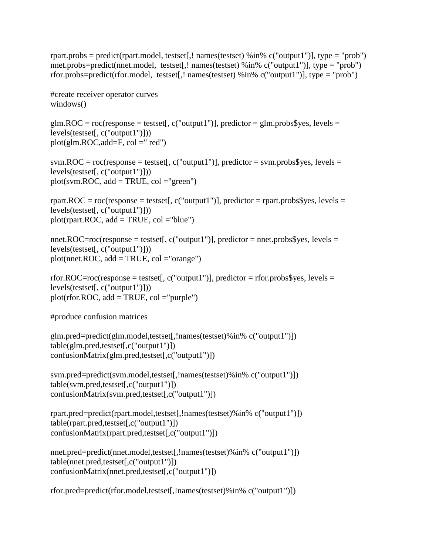rpart.probs = predict(rpart.model, testset[,! names(testset) %in% c("output1")], type = "prob") nnet.probs=predict(nnet.model, testset[,! names(testset) %in% c("output1")], type = "prob") rfor.probs=predict(rfor.model, testset[,! names(testset) %in%  $c("output1")$ ], type = "prob")

#create receiver operator curves windows()

glm.ROC =  $roc$ (response = testset[, c("output1")], predictor = glm.probs\$yes, levels = levels(testset[, c("output1")]))  $plot(glm.ROC, add=F, col = "red")$ 

svm.ROC =  $roc$ (response = testset[,  $c$ ("output1")], predictor = svm.probs\$yes, levels = levels(testset[, c("output1")]))  $plot(svm.ROC, add = TRUE, col = "green")$ 

rpart.ROC = roc(response = testset[, c("output1")], predictor = rpart.probs\$yes, levels = levels(testset[, c("output1")]))  $plot($ rpart.ROC, add = TRUE, col = "blue")

nnet.ROC=roc(response = testset[, c("output1")], predictor = nnet.probs\$yes, levels = levels(testset[, c("output1")])) plot(nnet.ROC,  $add = TRUE$ ,  $col = "orange")$ 

rfor.ROC=roc(response = testset[, c("output1")], predictor = rfor.probs\$yes, levels = levels(testset[, c("output1")]))  $plot(rfor.ROC, add = TRUE, col = "purple")$ 

#produce confusion matrices

```
glm.pred=predict(glm.model,testset[,!names(testset)%in% c("output1")])
table(glm.pred,testset[,c("output1")])
confusionMatrix(glm.pred,testset[,c("output1")])
```

```
svm.pred=predict(svm.model,testset[,!names(testset)%in% c("output1")])
table(svm.pred,testset[,c("output1")])
confusionMatrix(svm.pred,testset[,c("output1")])
```

```
rpart.pred=predict(rpart.model,testset[,!names(testset)%in% c("output1")])
table(rpart.pred,testset[,c("output1")])
confusionMatrix(rpart.pred,testset[,c("output1")])
```

```
nnet.pred=predict(nnet.model,testset[,!names(testset)%in% c("output1")])
table(nnet.pred,testset[,c("output1")])
confusionMatrix(nnet.pred,testset[,c("output1")])
```

```
rfor.pred=predict(rfor.model,testset[,!names(testset)%in% c("output1")])
```